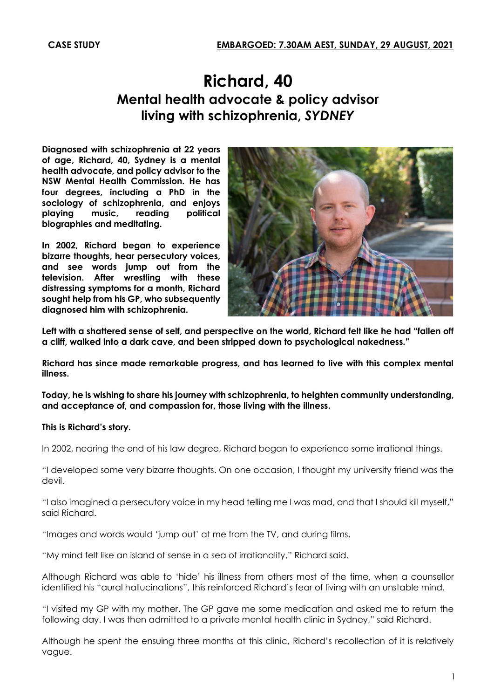## **Richard, 40 Mental health advocate & policy advisor living with schizophrenia,** *SYDNEY*

**Diagnosed with schizophrenia at 22 years of age, Richard, 40, Sydney is a mental health advocate, and policy advisor to the NSW Mental Health Commission. He has four degrees, including a PhD in the sociology of schizophrenia, and enjoys playing music, reading political biographies and meditating.** 

**In 2002, Richard began to experience bizarre thoughts, hear persecutory voices, and see words jump out from the television. After wrestling with these distressing symptoms for a month, Richard sought help from his GP, who subsequently diagnosed him with schizophrenia.** 



**Left with a shattered sense of self, and perspective on the world, Richard felt like he had "fallen off a cliff, walked into a dark cave, and been stripped down to psychological nakedness."**

**Richard has since made remarkable progress, and has learned to live with this complex mental illness.** 

**Today, he is wishing to share his journey with schizophrenia, to heighten community understanding, and acceptance of, and compassion for, those living with the illness.** 

## **This is Richard's story.**

In 2002, nearing the end of his law degree, Richard began to experience some irrational things.

"I developed some very bizarre thoughts. On one occasion, I thought my university friend was the devil.

"I also imagined a persecutory voice in my head telling me I was mad, and that I should kill myself," said Richard.

"Images and words would 'jump out' at me from the TV, and during films.

"My mind felt like an island of sense in a sea of irrationality," Richard said.

Although Richard was able to 'hide' his illness from others most of the time, when a counsellor identified his "aural hallucinations", this reinforced Richard's fear of living with an unstable mind.

"I visited my GP with my mother. The GP gave me some medication and asked me to return the following day. I was then admitted to a private mental health clinic in Sydney," said Richard.

Although he spent the ensuing three months at this clinic, Richard's recollection of it is relatively vague.